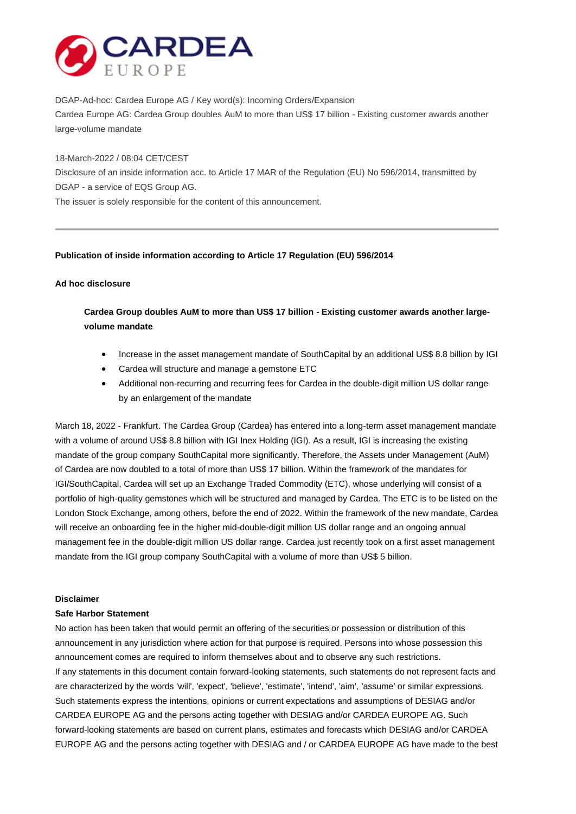

DGAP-Ad-hoc: Cardea Europe AG / Key word(s): Incoming Orders/Expansion Cardea Europe AG: Cardea Group doubles AuM to more than US\$ 17 billion - Existing customer awards another large-volume mandate

18-March-2022 / 08:04 CET/CEST

Disclosure of an inside information acc. to Article 17 MAR of the Regulation (EU) No 596/2014, transmitted by DGAP - a service of EQS Group AG.

The issuer is solely responsible for the content of this announcement.

## **Publication of inside information according to Article 17 Regulation (EU) 596/2014**

## **Ad hoc disclosure**

**Cardea Group doubles AuM to more than US\$ 17 billion - Existing customer awards another largevolume mandate**

- Increase in the asset management mandate of SouthCapital by an additional US\$ 8.8 billion by IGI
- Cardea will structure and manage a gemstone ETC
- Additional non-recurring and recurring fees for Cardea in the double-digit million US dollar range by an enlargement of the mandate

March 18, 2022 - Frankfurt. The Cardea Group (Cardea) has entered into a long-term asset management mandate with a volume of around US\$ 8.8 billion with IGI Inex Holding (IGI). As a result, IGI is increasing the existing mandate of the group company SouthCapital more significantly. Therefore, the Assets under Management (AuM) of Cardea are now doubled to a total of more than US\$ 17 billion. Within the framework of the mandates for IGI/SouthCapital, Cardea will set up an Exchange Traded Commodity (ETC), whose underlying will consist of a portfolio of high-quality gemstones which will be structured and managed by Cardea. The ETC is to be listed on the London Stock Exchange, among others, before the end of 2022. Within the framework of the new mandate, Cardea will receive an onboarding fee in the higher mid-double-digit million US dollar range and an ongoing annual management fee in the double-digit million US dollar range. Cardea just recently took on a first asset management mandate from the IGI group company SouthCapital with a volume of more than US\$ 5 billion.

#### **Disclaimer**

#### **Safe Harbor Statement**

No action has been taken that would permit an offering of the securities or possession or distribution of this announcement in any jurisdiction where action for that purpose is required. Persons into whose possession this announcement comes are required to inform themselves about and to observe any such restrictions. If any statements in this document contain forward-looking statements, such statements do not represent facts and are characterized by the words 'will', 'expect', 'believe', 'estimate', 'intend', 'aim', 'assume' or similar expressions. Such statements express the intentions, opinions or current expectations and assumptions of DESIAG and/or CARDEA EUROPE AG and the persons acting together with DESIAG and/or CARDEA EUROPE AG. Such forward-looking statements are based on current plans, estimates and forecasts which DESIAG and/or CARDEA EUROPE AG and the persons acting together with DESIAG and / or CARDEA EUROPE AG have made to the best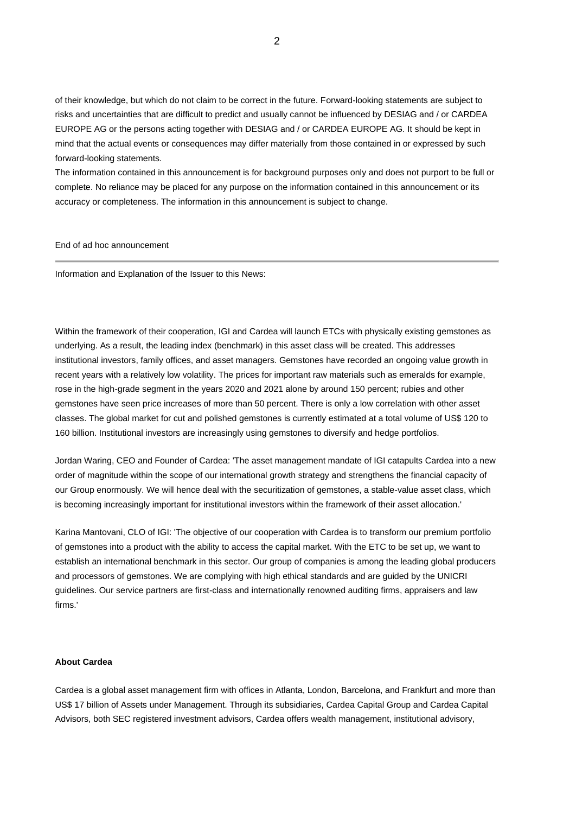of their knowledge, but which do not claim to be correct in the future. Forward-looking statements are subject to risks and uncertainties that are difficult to predict and usually cannot be influenced by DESIAG and / or CARDEA EUROPE AG or the persons acting together with DESIAG and / or CARDEA EUROPE AG. It should be kept in mind that the actual events or consequences may differ materially from those contained in or expressed by such forward-looking statements.

The information contained in this announcement is for background purposes only and does not purport to be full or complete. No reliance may be placed for any purpose on the information contained in this announcement or its accuracy or completeness. The information in this announcement is subject to change.

End of ad hoc announcement

Information and Explanation of the Issuer to this News:

Within the framework of their cooperation, IGI and Cardea will launch ETCs with physically existing gemstones as underlying. As a result, the leading index (benchmark) in this asset class will be created. This addresses institutional investors, family offices, and asset managers. Gemstones have recorded an ongoing value growth in recent years with a relatively low volatility. The prices for important raw materials such as emeralds for example, rose in the high-grade segment in the years 2020 and 2021 alone by around 150 percent; rubies and other gemstones have seen price increases of more than 50 percent. There is only a low correlation with other asset classes. The global market for cut and polished gemstones is currently estimated at a total volume of US\$ 120 to 160 billion. Institutional investors are increasingly using gemstones to diversify and hedge portfolios.

Jordan Waring, CEO and Founder of Cardea: 'The asset management mandate of IGI catapults Cardea into a new order of magnitude within the scope of our international growth strategy and strengthens the financial capacity of our Group enormously. We will hence deal with the securitization of gemstones, a stable-value asset class, which is becoming increasingly important for institutional investors within the framework of their asset allocation.'

Karina Mantovani, CLO of IGI: 'The objective of our cooperation with Cardea is to transform our premium portfolio of gemstones into a product with the ability to access the capital market. With the ETC to be set up, we want to establish an international benchmark in this sector. Our group of companies is among the leading global producers and processors of gemstones. We are complying with high ethical standards and are guided by the UNICRI guidelines. Our service partners are first-class and internationally renowned auditing firms, appraisers and law firms.'

# **About Cardea**

Cardea is a global asset management firm with offices in Atlanta, London, Barcelona, and Frankfurt and more than US\$ 17 billion of Assets under Management. Through its subsidiaries, Cardea Capital Group and Cardea Capital Advisors, both SEC registered investment advisors, Cardea offers wealth management, institutional advisory,